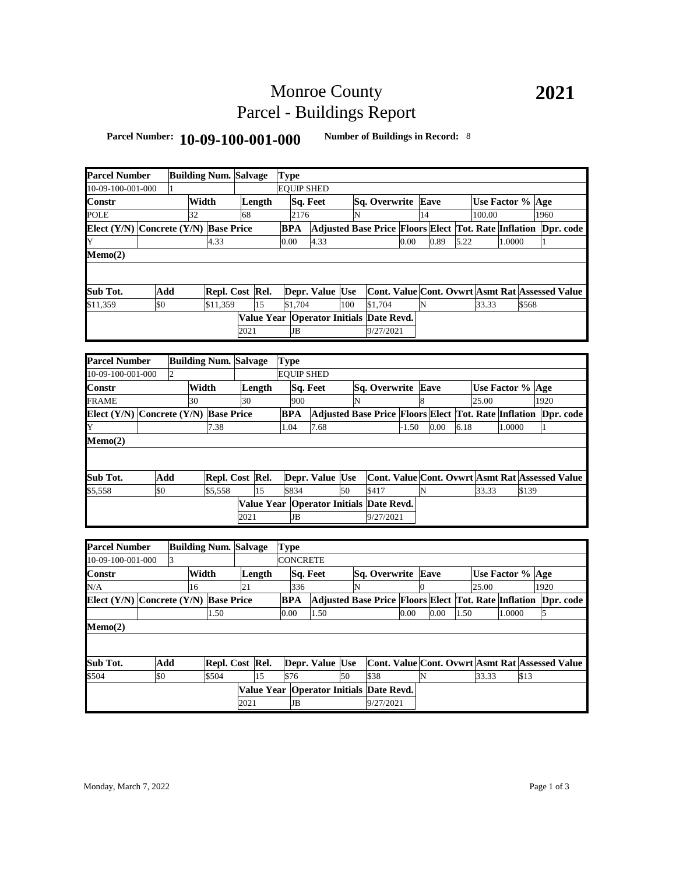# Monroe County Parcel - Buildings Report

### **Parcel Number: 10-09-100-001-000 Number of Buildings in Record:** <sup>8</sup>

| <b>Parcel Number</b>                  |     | <b>Building Num. Salvage</b> |                          |      |        | <b>Type</b> |           |                   |     |                                                                |         |                |      |      |                  |                  |       |      |  |
|---------------------------------------|-----|------------------------------|--------------------------|------|--------|-------------|-----------|-------------------|-----|----------------------------------------------------------------|---------|----------------|------|------|------------------|------------------|-------|------|--|
| 10-09-100-001-000                     |     |                              |                          |      |        |             |           | <b>EQUIP SHED</b> |     |                                                                |         |                |      |      |                  |                  |       |      |  |
| Constr                                |     |                              | Width                    |      | Length |             |           | Sq. Feet          |     | Sq. Overwrite Eave                                             |         |                |      |      |                  | Use Factor % Age |       |      |  |
| POLE                                  |     | 32                           |                          | 68   |        |             | 2176      |                   | N   |                                                                |         | 14             |      |      | 100.00           |                  |       | 1960 |  |
| Elect (Y/N) Concrete (Y/N) Base Price |     |                              |                          |      |        | <b>BPA</b>  |           |                   |     | Adjusted Base Price Floors Elect Tot. Rate Inflation Dpr. code |         |                |      |      |                  |                  |       |      |  |
| Y                                     |     |                              | 4.33                     |      |        | 0.00        |           | 4.33              |     |                                                                | 0.00    |                | 0.89 | 5.22 |                  | 1.0000           |       | 1    |  |
| Memo(2)                               |     |                              |                          |      |        |             |           |                   |     |                                                                |         |                |      |      |                  |                  |       |      |  |
|                                       |     |                              |                          |      |        |             |           |                   |     |                                                                |         |                |      |      |                  |                  |       |      |  |
|                                       |     |                              |                          |      |        |             |           |                   |     |                                                                |         |                |      |      |                  |                  |       |      |  |
| Sub Tot.                              | Add |                              | Repl. Cost Rel.          |      |        |             |           | Depr. Value Use   |     | Cont. Value Cont. Ovwrt Asmt Rat Assessed Value                |         |                |      |      |                  |                  |       |      |  |
| \$11,359                              | \$0 |                              | \$11,359                 |      | 15     |             | \$1,704   |                   | 100 | \$1.704                                                        |         | N              |      |      | 33.33            |                  | \$568 |      |  |
|                                       |     |                              |                          |      |        |             |           |                   |     | Value Year Operator Initials Date Revd.                        |         |                |      |      |                  |                  |       |      |  |
|                                       |     |                              |                          | 2021 |        |             | <b>JB</b> |                   |     | 9/27/2021                                                      |         |                |      |      |                  |                  |       |      |  |
|                                       |     |                              |                          |      |        |             |           |                   |     |                                                                |         |                |      |      |                  |                  |       |      |  |
| <b>Parcel Number</b>                  |     | <b>Building Num. Salvage</b> |                          |      |        | <b>Type</b> |           |                   |     |                                                                |         |                |      |      |                  |                  |       |      |  |
| 10-09-100-001-000                     |     | $\overline{2}$               |                          |      |        |             |           | <b>EQUIP SHED</b> |     |                                                                |         |                |      |      |                  |                  |       |      |  |
| Constr                                |     |                              | Width                    |      | Length |             |           | Sq. Feet          |     | Sq. Overwrite                                                  |         |                | Eave |      | Use Factor % Age |                  |       |      |  |
| FRAME                                 |     | 30                           |                          | 30   |        |             | 900       |                   | N   |                                                                |         | 8              |      |      | 25.00            |                  |       | 1920 |  |
| Elect (Y/N) Concrete (Y/N) Base Price |     |                              |                          |      |        | BPA         |           |                   |     | Adjusted Base Price Floors Elect Tot. Rate Inflation Dpr. code |         |                |      |      |                  |                  |       |      |  |
|                                       |     |                              | 7.38                     |      |        | 1.04        |           | 7.68              |     |                                                                | $-1.50$ |                | 0.00 | 6.18 |                  | 1.0000           |       | 1    |  |
| Memo(2)                               |     |                              |                          |      |        |             |           |                   |     |                                                                |         |                |      |      |                  |                  |       |      |  |
|                                       |     |                              |                          |      |        |             |           |                   |     |                                                                |         |                |      |      |                  |                  |       |      |  |
|                                       |     |                              |                          |      |        |             |           |                   |     |                                                                |         |                |      |      |                  |                  |       |      |  |
| Sub Tot.                              | Add |                              | Repl. Cost Rel.          |      |        |             |           | Depr. Value Use   |     | Cont. Value Cont. Ovwrt Asmt Rat Assessed Value                |         |                |      |      |                  |                  |       |      |  |
| \$5,558                               | \$0 |                              | \$5,558                  |      | 15     | \$834       |           |                   | 50  | \$417                                                          |         | N              |      |      | 33.33            |                  | \$139 |      |  |
|                                       |     |                              |                          |      |        |             |           |                   |     | Value Year Operator Initials Date Revd.                        |         |                |      |      |                  |                  |       |      |  |
|                                       |     |                              |                          | 2021 |        |             | <b>JB</b> |                   |     | 9/27/2021                                                      |         |                |      |      |                  |                  |       |      |  |
|                                       |     |                              |                          |      |        |             |           |                   |     |                                                                |         |                |      |      |                  |                  |       |      |  |
| <b>Parcel Number</b>                  |     | <b>Building Num. Salvage</b> |                          |      |        | Type        |           |                   |     |                                                                |         |                |      |      |                  |                  |       |      |  |
| $0-09-100-001-000$                    |     | 3                            |                          |      |        |             |           | <b>CONCRETE</b>   |     |                                                                |         |                |      |      |                  |                  |       |      |  |
| Constr                                |     |                              | Width                    |      | Length |             |           | Sq. Feet          |     | Sq. Overwrite                                                  |         |                | Eave |      |                  | Use Factor %     |       | Age  |  |
| N/A                                   |     | 16                           |                          | 21   |        |             | 336       |                   | N   |                                                                |         | $\overline{0}$ |      |      | 25.00            |                  |       | 1920 |  |
| Elect (Y/N) Concrete (Y/N) Base Price |     |                              |                          |      |        | BPA         |           |                   |     | Adjusted Base Price Floors Elect Tot. Rate Inflation Dpr. code |         |                |      |      |                  |                  |       |      |  |
|                                       |     |                              | 1.50                     |      |        | 0.00        |           | 1.50              |     |                                                                | 0.00    |                | 0.00 | 1.50 |                  | 1.0000           |       | 5    |  |
| Memo(2)                               |     |                              |                          |      |        |             |           |                   |     |                                                                |         |                |      |      |                  |                  |       |      |  |
|                                       |     |                              |                          |      |        |             |           |                   |     |                                                                |         |                |      |      |                  |                  |       |      |  |
|                                       |     |                              |                          |      |        |             |           |                   |     |                                                                |         |                |      |      |                  |                  |       |      |  |
|                                       |     |                              |                          |      |        |             |           |                   |     |                                                                |         |                |      |      |                  |                  |       |      |  |
| Sub Tot.                              | Add |                              |                          |      |        |             |           | Depr. Value Use   |     | Cont. Value Cont. Ovwrt Asmt Rat Assessed Value                |         |                |      |      |                  |                  |       |      |  |
| \$504                                 | \$0 |                              | Repl. Cost Rel.<br>\$504 |      | 15     | \$76        |           |                   | 50  | \$38                                                           |         | N              |      |      | 33.33            |                  | \$13  |      |  |
|                                       |     |                              |                          |      |        |             |           |                   |     | Value Year Operator Initials Date Revd.                        |         |                |      |      |                  |                  |       |      |  |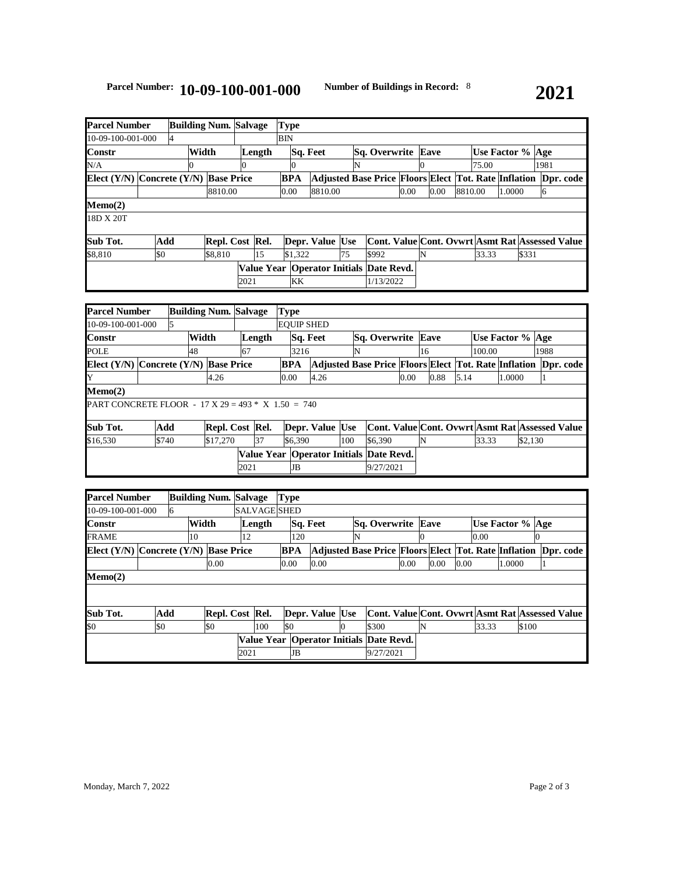| Parcel Number                         | <b>Building Num. Salvage</b> |                |  | <b>Type</b>     |        |    |            |                 |                 |                           |                                                                |      |      |                  |       |        |       |      |  |
|---------------------------------------|------------------------------|----------------|--|-----------------|--------|----|------------|-----------------|-----------------|---------------------------|----------------------------------------------------------------|------|------|------------------|-------|--------|-------|------|--|
| 10-09-100-001-000                     |                              | $\overline{4}$ |  |                 |        |    | BIN        |                 |                 |                           |                                                                |      |      |                  |       |        |       |      |  |
| Width<br>Constr                       |                              |                |  |                 | Length |    |            | <b>Sq. Feet</b> |                 | <b>Sq. Overwrite Eave</b> |                                                                |      |      | Use Factor % Age |       |        |       |      |  |
| N/A                                   |                              |                |  |                 |        |    |            |                 |                 | N                         |                                                                |      |      |                  | 75.00 |        |       | 1981 |  |
| Elect (Y/N) Concrete (Y/N) Base Price |                              |                |  |                 |        |    | <b>BPA</b> |                 |                 |                           | Adjusted Base Price Floors Elect Tot. Rate Inflation Dpr. code |      |      |                  |       |        |       |      |  |
|                                       |                              |                |  | 8810.00         |        |    | 0.00       |                 | 8810.00         |                           |                                                                | 0.00 | 0.00 | 8810.00          |       | 1.0000 |       | h    |  |
| Memo(2)                               |                              |                |  |                 |        |    |            |                 |                 |                           |                                                                |      |      |                  |       |        |       |      |  |
| 18D X 20T                             |                              |                |  |                 |        |    |            |                 |                 |                           |                                                                |      |      |                  |       |        |       |      |  |
|                                       |                              |                |  |                 |        |    |            |                 |                 |                           |                                                                |      |      |                  |       |        |       |      |  |
| Sub Tot.                              | Add                          |                |  | Repl. Cost Rel. |        |    |            |                 | Depr. Value Use |                           | Cont. Value Cont. Ovwrt Asmt Rat Assessed Value                |      |      |                  |       |        |       |      |  |
| \$8.810                               | \$0                          |                |  | \$8,810         |        | 15 |            | \$1.322         |                 | 75                        | \$992                                                          |      |      |                  | 33.33 |        | \$331 |      |  |
|                                       |                              |                |  |                 |        |    |            |                 |                 |                           | Value Year   Operator Initials   Date Revd.                    |      |      |                  |       |        |       |      |  |
|                                       |                              |                |  |                 | 2021   |    |            | KK              |                 |                           | 1/13/2022                                                      |      |      |                  |       |        |       |      |  |

| <b>Parcel Number</b>                                        |       |   |    | <b>Building Num. Salvage</b> |      |    | <b>Type</b> |         |                           |     |                                                                |                  |                                                 |      |        |        |         |      |  |
|-------------------------------------------------------------|-------|---|----|------------------------------|------|----|-------------|---------|---------------------------|-----|----------------------------------------------------------------|------------------|-------------------------------------------------|------|--------|--------|---------|------|--|
| 10-09-100-001-000                                           |       | 5 |    |                              |      |    |             |         | <b>EOUIP SHED</b>         |     |                                                                |                  |                                                 |      |        |        |         |      |  |
| Width<br><b>Constr</b>                                      |       |   |    | Length                       |      |    | Sq. Feet    |         | <b>Sq. Overwrite Eave</b> |     |                                                                | Use Factor % Age |                                                 |      |        |        |         |      |  |
| <b>POLE</b>                                                 |       |   | 48 |                              | 67   |    |             | 3216    |                           | N   |                                                                |                  | 16                                              |      | 100.00 |        |         | 1988 |  |
| Elect $(Y/N)$ Concrete $(Y/N)$ Base Price                   |       |   |    |                              |      |    | <b>BPA</b>  |         |                           |     | Adjusted Base Price Floors Elect Tot. Rate Inflation Dpr. code |                  |                                                 |      |        |        |         |      |  |
| IY                                                          |       |   |    | 4.26                         |      |    | 0.00        |         | 4.26                      |     |                                                                | 0.00             | 0.88                                            | 5.14 |        | 1.0000 |         |      |  |
| $Memo(2)$                                                   |       |   |    |                              |      |    |             |         |                           |     |                                                                |                  |                                                 |      |        |        |         |      |  |
| <b>PART CONCRETE FLOOR</b> - 17 X 29 = 493 $*$ X 1.50 = 740 |       |   |    |                              |      |    |             |         |                           |     |                                                                |                  |                                                 |      |        |        |         |      |  |
| Sub Tot.                                                    | Add   |   |    | Repl. Cost Rel.              |      |    |             |         | Depr. Value Use           |     |                                                                |                  | Cont. Value Cont. Ovwrt Asmt Rat Assessed Value |      |        |        |         |      |  |
| \$16,530                                                    | \$740 |   |    | \$17,270                     |      | 37 |             | \$6,390 |                           | 100 | \$6,390                                                        |                  | IN                                              |      | 33.33  |        | \$2,130 |      |  |
|                                                             |       |   |    |                              |      |    |             |         |                           |     | Value Year   Operator Initials   Date Revd.                    |                  |                                                 |      |        |        |         |      |  |
|                                                             |       |   |    |                              | 2021 |    |             | JB      |                           |     | 9/27/2021                                                      |                  |                                                 |      |        |        |         |      |  |

| <b>Parcel Number</b>                      |     |   |       | <b>Building Num. Salvage</b> |      |                                             |     | <b>Type</b> |                                                                       |   |                           |           |      |   |      |      |                    |        |       |                                                 |
|-------------------------------------------|-----|---|-------|------------------------------|------|---------------------------------------------|-----|-------------|-----------------------------------------------------------------------|---|---------------------------|-----------|------|---|------|------|--------------------|--------|-------|-------------------------------------------------|
| 10-09-100-001-000                         |     | 6 |       |                              |      | <b>SALVAGE SHED</b>                         |     |             |                                                                       |   |                           |           |      |   |      |      |                    |        |       |                                                 |
| <b>Constr</b>                             |     |   | Width |                              |      | Length                                      |     | Sq. Feet    |                                                                       |   | <b>Sq. Overwrite Eave</b> |           |      |   |      |      | Use Factor %   Age |        |       |                                                 |
| <b>FRAME</b>                              |     |   | 10    |                              | 12   |                                             |     | 120         |                                                                       | N |                           |           |      |   |      |      | 0.00               |        |       |                                                 |
| Elect $(Y/N)$ Concrete $(Y/N)$ Base Price |     |   |       |                              |      |                                             |     | <b>BPA</b>  | <b>Adjusted Base Price Floors Elect Tot. Rate Inflation Dpr. code</b> |   |                           |           |      |   |      |      |                    |        |       |                                                 |
|                                           |     |   |       | 0.00                         |      |                                             |     | 0.00        | 0.00                                                                  |   |                           |           | 0.00 |   | 0.00 | 0.00 |                    | 1.0000 |       |                                                 |
| $Memo(2)$                                 |     |   |       |                              |      |                                             |     |             |                                                                       |   |                           |           |      |   |      |      |                    |        |       |                                                 |
|                                           |     |   |       |                              |      |                                             |     |             |                                                                       |   |                           |           |      |   |      |      |                    |        |       |                                                 |
|                                           |     |   |       |                              |      |                                             |     |             |                                                                       |   |                           |           |      |   |      |      |                    |        |       |                                                 |
| Sub Tot.                                  | Add |   |       | Repl. Cost Rel.              |      |                                             |     |             | Depr. Value Use                                                       |   |                           |           |      |   |      |      |                    |        |       | Cont. Value Cont. Ovwrt Asmt Rat Assessed Value |
| \$0                                       | \$0 |   |       | \$0                          |      | 100                                         | \$0 |             |                                                                       | 0 | \$300                     |           |      | N |      |      | 33.33              |        | \$100 |                                                 |
|                                           |     |   |       |                              |      | Value Year   Operator Initials   Date Revd. |     |             |                                                                       |   |                           |           |      |   |      |      |                    |        |       |                                                 |
|                                           |     |   |       |                              | 2021 |                                             |     | JB          |                                                                       |   |                           | 9/27/2021 |      |   |      |      |                    |        |       |                                                 |